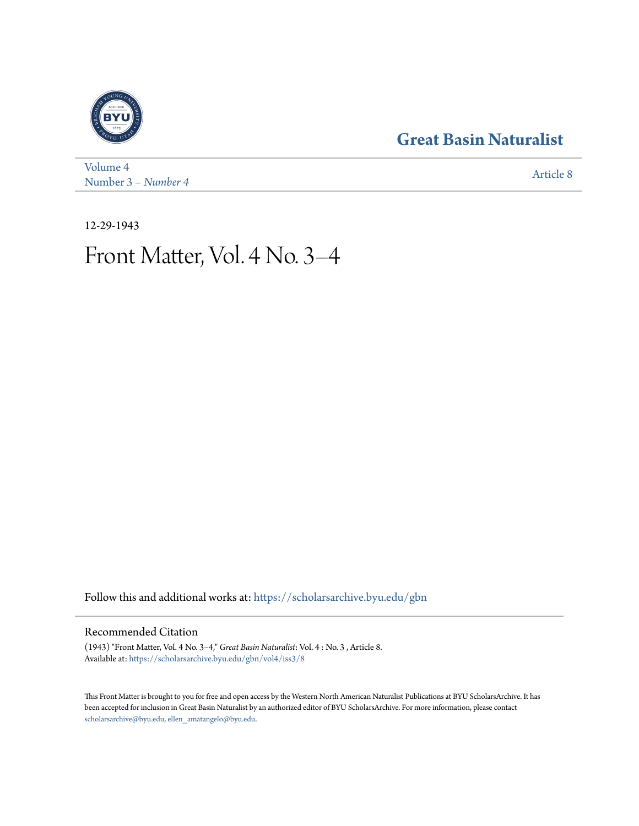## **[Great Basin Naturalist](https://scholarsarchive.byu.edu/gbn?utm_source=scholarsarchive.byu.edu%2Fgbn%2Fvol4%2Fiss3%2F8&utm_medium=PDF&utm_campaign=PDFCoverPages)**



[Volume 4](https://scholarsarchive.byu.edu/gbn/vol4?utm_source=scholarsarchive.byu.edu%2Fgbn%2Fvol4%2Fiss3%2F8&utm_medium=PDF&utm_campaign=PDFCoverPages) Number 3 *[– Number 4](https://scholarsarchive.byu.edu/gbn/vol4/iss3?utm_source=scholarsarchive.byu.edu%2Fgbn%2Fvol4%2Fiss3%2F8&utm_medium=PDF&utm_campaign=PDFCoverPages)* [Article 8](https://scholarsarchive.byu.edu/gbn/vol4/iss3/8?utm_source=scholarsarchive.byu.edu%2Fgbn%2Fvol4%2Fiss3%2F8&utm_medium=PDF&utm_campaign=PDFCoverPages)

12-29-1943

# Front Matter, Vol. 4 No. 3–4

Follow this and additional works at: [https://scholarsarchive.byu.edu/gbn](https://scholarsarchive.byu.edu/gbn?utm_source=scholarsarchive.byu.edu%2Fgbn%2Fvol4%2Fiss3%2F8&utm_medium=PDF&utm_campaign=PDFCoverPages)

### Recommended Citation

(1943) "Front Matter, Vol. 4 No. 3–4," *Great Basin Naturalist*: Vol. 4 : No. 3 , Article 8. Available at: [https://scholarsarchive.byu.edu/gbn/vol4/iss3/8](https://scholarsarchive.byu.edu/gbn/vol4/iss3/8?utm_source=scholarsarchive.byu.edu%2Fgbn%2Fvol4%2Fiss3%2F8&utm_medium=PDF&utm_campaign=PDFCoverPages)

This Front Matter is brought to you for free and open access by the Western North American Naturalist Publications at BYU ScholarsArchive. It has been accepted for inclusion in Great Basin Naturalist by an authorized editor of BYU ScholarsArchive. For more information, please contact [scholarsarchive@byu.edu, ellen\\_amatangelo@byu.edu.](mailto:scholarsarchive@byu.edu,%20ellen_amatangelo@byu.edu)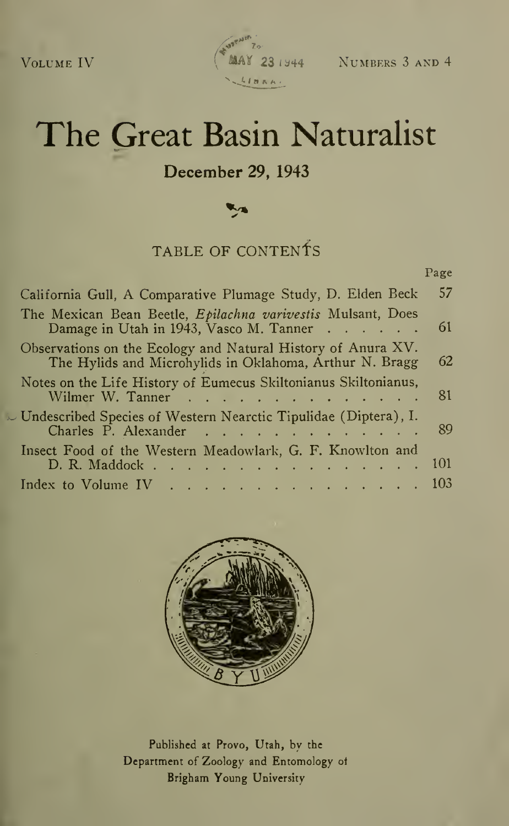

Page

# The Great Basin Naturalist

### December 29, 1943

## TABLE OF CONTENTS

| California Gull, A Comparative Plumage Study, D. Elden Beck                                                             | 57   |
|-------------------------------------------------------------------------------------------------------------------------|------|
| The Mexican Bean Beetle, Epilachna varivestis Mulsant, Does<br>Damage in Utah in 1943, Vasco M. Tanner                  | -61  |
| Observations on the Ecology and Natural History of Anura XV.<br>The Hylids and Microhylids in Oklahoma, Arthur N. Bragg | 62   |
| Notes on the Life History of Eumecus Skiltonianus Skiltonianus,<br>Wilmer W. Tanner                                     | -81  |
| Undescribed Species of Western Nearctic Tipulidae (Diptera), I.<br>Charles P. Alexander                                 | -89  |
| Insect Food of the Western Meadowlark, G. F. Knowlton and<br>D. R. Maddock<br><b>Contract Contract</b>                  | -101 |
| Index to Volume IV $\ldots$ 103                                                                                         |      |



Published at Provo, Utah, by the Department of Zoology and Entomology of Brigham Young University